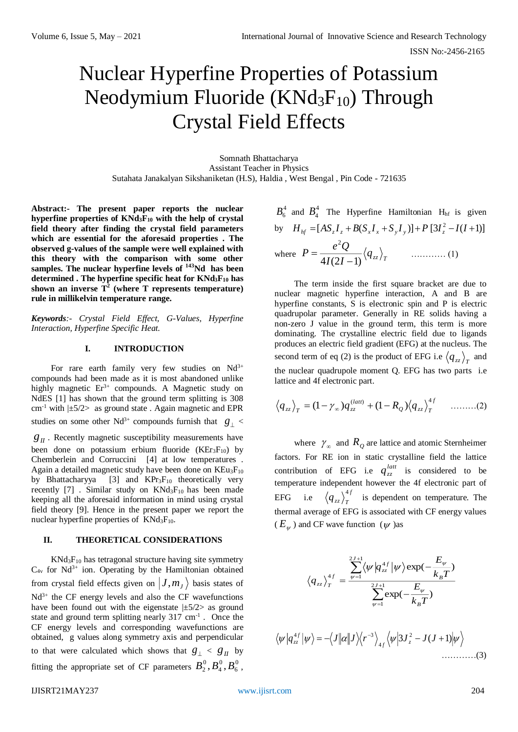# Nuclear Hyperfine Properties of Potassium Neodymium Fluoride ( $KNd_3F_{10}$ ) Through Crystal Field Effects

Somnath Bhattacharya Assistant Teacher in Physics Sutahata Janakalyan Sikshaniketan (H.S), Haldia , West Bengal , Pin Code - 721635

 $A$ 

**Abstract:- The present paper reports the nuclear hyperfine properties of KNd3F<sup>10</sup> with the help of crystal field theory after finding the crystal field parameters which are essential for the aforesaid properties . The observed g-values of the sample were well explained with this theory with the comparison with some other samples. The nuclear hyperfine levels of <sup>143</sup>Nd has been determined . The hyperfine specific heat for KNd3F<sup>10</sup> has shown an inverse T<sup>2</sup> (where T represents temperature) rule in millikelvin temperature range.** 

*Keywords:- Crystal Field Effect, G-Values, Hyperfine Interaction, Hyperfine Specific Heat.*

### **I. INTRODUCTION**

For rare earth family very few studies on  $Nd^{3+}$ compounds had been made as it is most abandoned unlike highly magnetic  $Er^{3+}$  compounds. A Magnetic study on NdES [1] has shown that the ground term splitting is 308 cm<sup>-1</sup> with  $|\pm 5/2\rangle$  as ground state. Again magnetic and EPR studies on some other Nd<sup>3+</sup> compounds furnish that  $g_{\perp}$  <

 $g_{II}$ . Recently magnetic susceptibility measurements have been done on potassium erbium fluoride  $(KEr<sub>3</sub>F<sub>10</sub>)$  by Chemberlein and Corruccini [4] at low temperatures . Again a detailed magnetic study have been done on KEu<sub>3</sub>F<sub>10</sub> by Bhattacharyya  $[3]$  and  $KPr_3F_{10}$  theoretically very recently [7]. Similar study on  $KNd_3F_{10}$  has been made keeping all the aforesaid information in mind using crystal field theory [9]. Hence in the present paper we report the nuclear hyperfine properties of  $KNd_3F_{10}$ .

## **II. THEORETICAL CONSIDERATIONS**

 $KNd_3F_{10}$  has tetragonal structure having site symmetry  $C_{4v}$  for Nd<sup>3+</sup> ion. Operating by the Hamiltonian obtained from crystal field effects given on  $|J,m_j\rangle$  basis states of  $Nd^{3+}$  the CF energy levels and also the CF wavefunctions have been found out with the eigenstate  $|\pm 5/2\rangle$  as ground state and ground term splitting nearly  $317 \text{ cm}^{-1}$ . Once the CF energy levels and corresponding wavefunctions are obtained, g values along symmetry axis and perpendicular to that were calculated which shows that  $g_{\perp} < g_{II}$  by fitting the appropriate set of CF parameters  $B_2^0, B_4^0, B_6^0$ 6 0 4  $B_2^0, B_4^0, B_6^0$  ,

$$
B_6^4
$$
 and  $B_4^4$  The Hyperfine Hamiltonian H<sub>hf</sub> is given  
by  $H_{hf} = [AS_zI_z + B(S_xI_x + S_yI_y)] + P[3I_z^2 - I(I+1)]$   
where  $P = \frac{e^2Q}{4I(2I-1)} \langle q_{zz} \rangle_T$  ......... (1)

The term inside the first square bracket are due to nuclear magnetic hyperfine interaction, A and B are hyperfine constants, S is electronic spin and P is electric quadrupolar parameter. Generally in RE solids having a non-zero J value in the ground term, this term is more dominating. The crystalline electric field due to ligands produces an electric field gradient (EFG) at the nucleus. The second term of eq (2) is the product of EFG i.e  $\langle q_{zz} \rangle$ <sub>*T*</sub> and the nuclear quadrupole moment Q. EFG has two parts i.e lattice and 4f electronic part.

$$
\left\langle q_{zz}\right\rangle_T = (1 - \gamma_\infty) q_{zz}^{(latt)} + (1 - R_Q) \left\langle q_{zz}\right\rangle_T^{4f} \quad \ldots \ldots \ldots (2)
$$

where  $\gamma_{\infty}$  and  $R_Q$  are lattice and atomic Sternheimer factors. For RE ion in static crystalline field the lattice contribution of EFG i.e  $q_{zz}^{latt}$  is considered to be temperature independent however the 4f electronic part of  $EFG$ *f*  $q_{zz}\rangle_T^{4f}$  is dependent on temperature. The thermal average of EFG is associated with CF energy values  $(E_{\psi})$  and CF wave function  $(\psi)$  as

$$
\langle q_{zz} \rangle_T^{4f} = \frac{\sum_{\psi=1}^{2J+1} \langle \psi | q_{zz}^{4f} | \psi \rangle \exp(-\frac{E_{\psi}}{k_B T})}{\sum_{\psi=1}^{2J+1} \exp(-\frac{E_{\psi}}{k_B T})}
$$

$$
\langle \psi | q_{zz}^{4f} | \psi \rangle = -\langle J | \alpha | J \rangle \langle r^{-3} \rangle_{4f} \langle \psi | 3J_z^2 - J(J+1) | \psi \rangle
$$
............(3)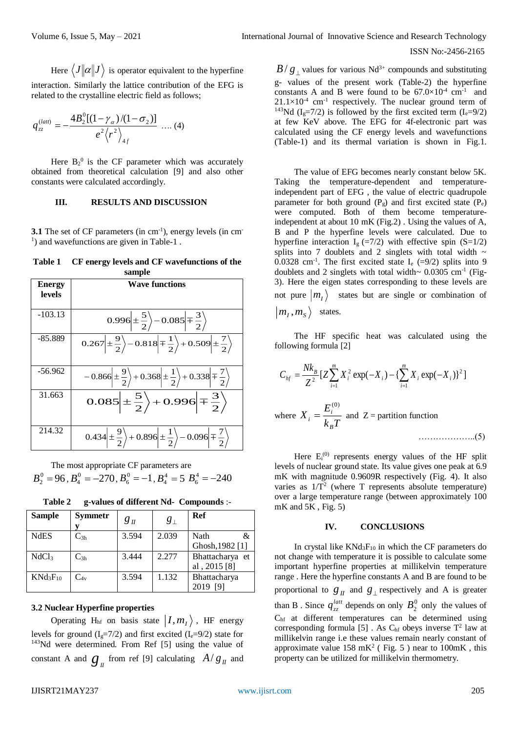ISSN No:-2456-2165

Here  $\langle J\|\alpha\|J\,\rangle$  is operator equivalent to the hyperfine interaction. Similarly the lattice contribution of the EFG is related to the crystalline electric field as follows;

$$
q_{zz}^{(latt)} = -\frac{4B_2^0[(1-\gamma_\alpha)/(1-\sigma_2)]}{e^2\langle r^2\rangle_{4f}} \dots (4)
$$

Here  $B_2^0$  is the CF parameter which was accurately obtained from theoretical calculation [9] and also other constants were calculated accordingly.

#### **III. RESULTS AND DISCUSSION**

**3.1** The set of CF parameters (in cm<sup>-1</sup>), energy levels (in cm<sup>-1</sup>) <sup>1</sup>) and wavefunctions are given in Table-1.

**Table 1 CF energy levels and CF wavefunctions of the sample**

| <b>Energy</b><br>levels | <b>Wave functions</b>                                                                                                      |  |  |  |  |  |
|-------------------------|----------------------------------------------------------------------------------------------------------------------------|--|--|--|--|--|
| $-103.13$               | $0.996\left \pm\frac{5}{2}\right\rangle - 0.085\left \mp\frac{3}{2}\right\rangle$                                          |  |  |  |  |  |
| $-85.889$               | $0.267\left \pm\frac{9}{2}\right\rangle - 0.818\left \mp\frac{1}{2}\right\rangle + 0.509\left \pm\frac{7}{2}\right\rangle$ |  |  |  |  |  |
| $-56.962$               | $-0.866\left(\pm\frac{9}{2}\right) + 0.368\left(\pm\frac{1}{2}\right) + 0.338\left(\mp\frac{7}{2}\right)$                  |  |  |  |  |  |
| 31.663                  | $0.085\Big \pm\frac{5}{2}\Big\rangle+0.996\Big \mp\frac{3}{2}\Big\rangle$                                                  |  |  |  |  |  |
| 214.32                  | $0.434\left \pm\frac{9}{2}\right\rangle+0.896\left \pm\frac{1}{2}\right\rangle-0.096\left \mp\frac{7}{2}\right\rangle$     |  |  |  |  |  |

The most appropriate CF parameters are  $B_2^0 = 96$ ,  $B_4^0 = -270$ ,  $B_6^0 = -1$ ,  $B_4^4 = 5$   $B_6^4 = -240$ 

| <b>Sample</b>     | <b>Symmetr</b>    | $g_{I\!I}$ | $g_{\perp}$ | <b>Ref</b>      |
|-------------------|-------------------|------------|-------------|-----------------|
|                   |                   |            |             |                 |
| <b>NdES</b>       | $C_{3h}$          | 3.594      | 2.039       | Nath<br>&       |
|                   |                   |            |             | Ghosh, 1982 [1] |
| NdCl <sub>3</sub> | $C_{3h}$          | 3.444      | 2.277       | Bhattacharya et |
|                   |                   |            |             | al, 2015 [8]    |
| $KNd_3F_{10}$     | $\mathrm{C_{4v}}$ | 3.594      | 1.132       | Bhattacharya    |
|                   |                   |            |             |                 |

**Table 2 g-values of different Nd- Compounds** :-

#### **3.2 Nuclear Hyperfine properties**

Operating H<sub>hf</sub> on basis state  $|I,m_I\rangle$ , HF energy levels for ground  $(I_g=7/2)$  and first excited  $(I_e=9/2)$  state for <sup>143</sup>Nd were determined. From Ref [5] using the value of constant A and  $g_{II}$  from ref [9] calculating  $A/g_{II}$  and

 $B/g$  values for various Nd<sup>3+</sup> compounds and substituting g- values of the present work (Table-2) the hyperfine constants A and B were found to be  $67.0 \times 10^{-4}$  cm<sup>-1</sup> and  $21.1 \times 10^{-4}$  cm<sup>-1</sup> respectively. The nuclear ground term of <sup>143</sup>Nd (I<sub>e</sub>=7/2) is followed by the first excited term (I<sub>e</sub>=9/2) at few KeV above. The EFG for 4f-electronic part was calculated using the CF energy levels and wavefunctions (Table-1) and its thermal variation is shown in Fig.1.

The value of EFG becomes nearly constant below 5K. Taking the temperature-dependent and temperatureindependent part of EFG , the value of electric quadrupole parameter for both ground  $(P_g)$  and first excited state  $(P_e)$ were computed. Both of them become temperatureindependent at about 10 mK (Fig.2) . Using the values of A, B and P the hyperfine levels were calculated. Due to hyperfine interaction  $I<sub>g</sub>$  (=7/2) with effective spin (S=1/2) splits into 7 doublets and 2 singlets with total width  $\sim$ 0.0328 cm<sup>-1</sup>. The first excited state  $I_e$  (=9/2) splits into 9 doublets and 2 singlets with total width~  $0.0305$  cm<sup>-1</sup> (Fig-3). Here the eigen states corresponding to these levels are not pure  $|m_{I}\rangle$  states but are single or combination of  $m<sub>I</sub>$ ,  $m<sub>S</sub>$  states.

The HF specific heat was calculated using the following formula [2]

$$
C_{hf} = \frac{Nk_B}{Z^2} [Z \sum_{i=1}^{m} X_i^2 \exp(-X_i) - \{ \sum_{i=1}^{m} X_i \exp(-X_i) \}^2 ]
$$
  
where  $X_i = \frac{E_i^{(0)}}{k_B T}$  and  $Z$  = partition function

Here  $E_i^{(0)}$  represents energy values of the HF split levels of nuclear ground state. Its value gives one peak at 6.9 mK with magnitude 0.9609R respectively (Fig. 4). It also varies as  $1/T^2$  (where T represents absolute temperature) over a large temperature range (between approximately 100 mK and 5K , Fig. 5)

## **IV. CONCLUSIONS**

In crystal like  $KNd_3F_{10}$  in which the CF parameters do not change with temperature it is possible to calculate some important hyperfine properties at millikelvin temperature range . Here the hyperfine constants A and B are found to be proportional to  $g_{II}$  and  $g_{\perp}$  respectively and A is greater than B. Since  $q_{zz}^{latt}$  depends on only  $B_2^0$  only the values of Chf at different temperatures can be determined using corresponding formula [5]. As  $C<sub>hf</sub>$  obeys inverse  $T<sup>2</sup>$  law at millikelvin range i.e these values remain nearly constant of approximate value  $158 \text{ mK}^2$  (Fig. 5) near to  $100 \text{ mK}$ , this property can be utilized for millikelvin thermometry.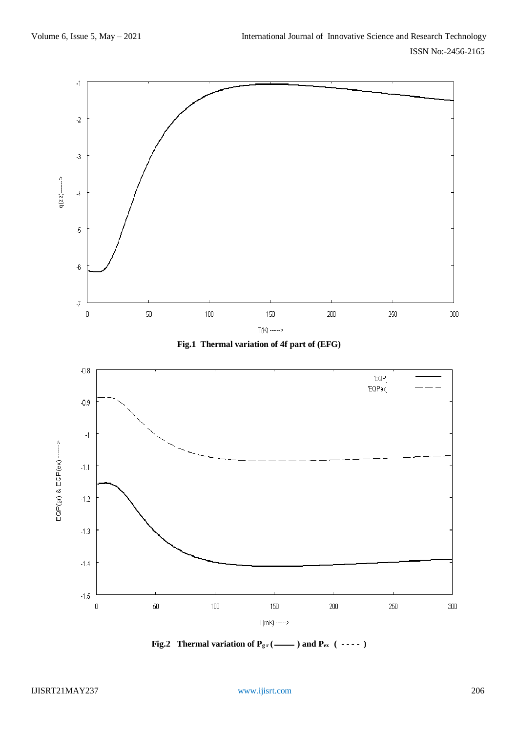





**Fig.2** Thermal variation of  $P_{gr}$  ( ---- ) and  $P_{ex}$  ( ---- )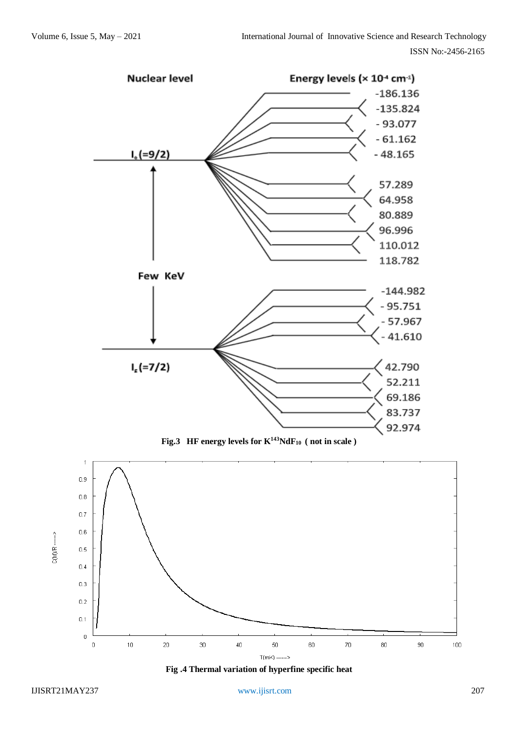

**Fig.3** HF energy levels for  $K^{143}NdF_{10}$  (not in scale)



**Fig .4 Thermal variation of hyperfine specific heat**